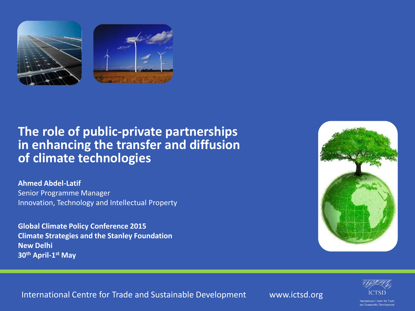

# **The role of public-private partnerships in enhancing the transfer and diffusion of climate technologies**

**Ahmed Abdel-Latif** Senior Programme Manager Innovation, Technology and Intellectual Property

**Global Climate Policy Conference 2015 Climate Strategies and the Stanley Foundation New Delhi 30th April-1 st May** 





International Centre for Trade and Sustainable Development www.ictsd.org

International Centre for Trad and Sustainable Development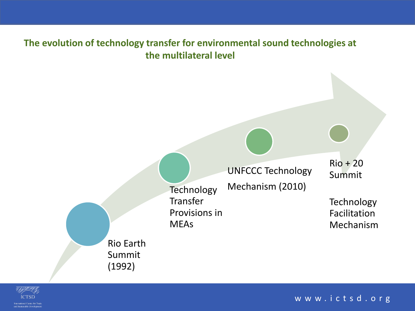

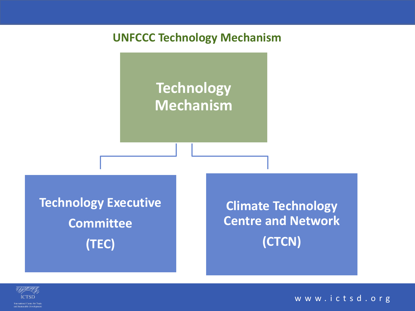## **UNFCCC Technology Mechanism**

# **Technology Mechanism**

**Technology Executive Committee (TEC)**

**Climate Technology Centre and Network (CTCN)**

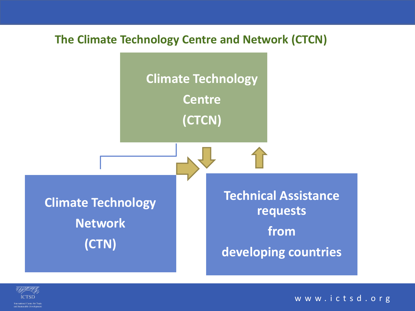#### **The Climate Technology Centre and Network (CTCN)**



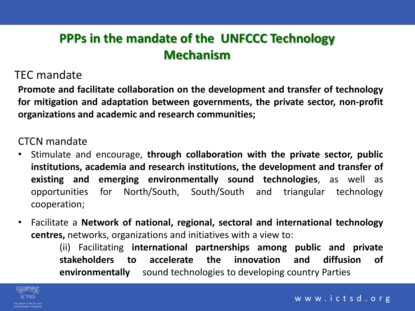# **PPPs in the mandate of the UNFCCC Technology Mechanism**

### TEC mandate

**Promote and facilitate collaboration on the development and transfer of technology for mitigation and adaptation between governments, the private sector, non-profit organizations and academic and research communities;**

#### CTCN mandate

- Stimulate and encourage, **through collaboration with the private sector, public institutions, academia and research institutions, the development and transfer of existing and emerging environmentally sound technologies**, as well as opportunities for North/South, South/South and triangular technology cooperation;
- Facilitate a **Network of national, regional, sectoral and international technology centres,** networks, organizations and initiatives with a view to:

(ii) Facilitating **international partnerships among public and private stakeholders to accelerate the innovation and diffusion of environmentally** sound technologies to developing country Parties

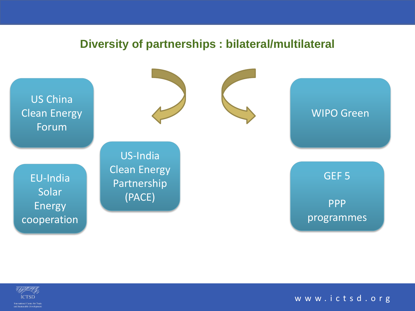#### **Diversity of partnerships : bilateral/multilateral**



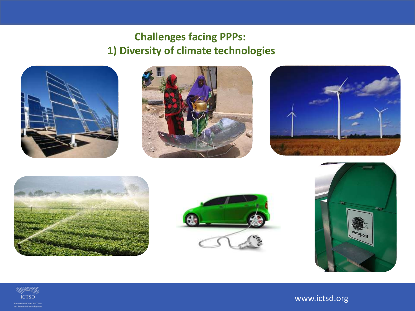# **Challenges facing PPPs: 1) Diversity of climate technologies**















www.ictsd.org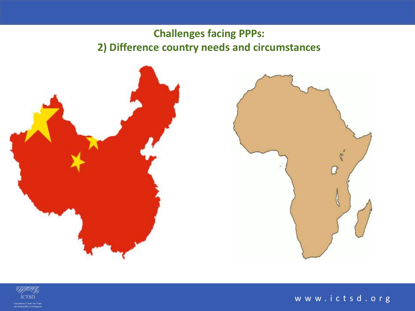# **Challenges facing PPPs: 2) Difference country needs and circumstances**





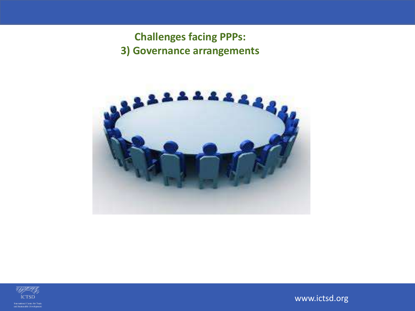**Challenges facing PPPs: 3) Governance arrangements** 





www.ictsd.org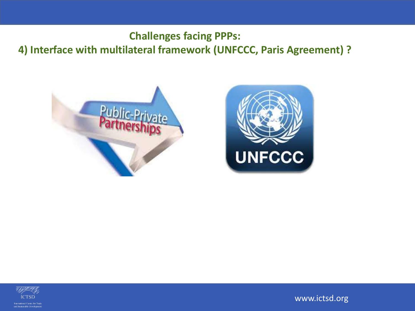**Challenges facing PPPs: 4) Interface with multilateral framework (UNFCCC, Paris Agreement) ?** 







www.ictsd.org